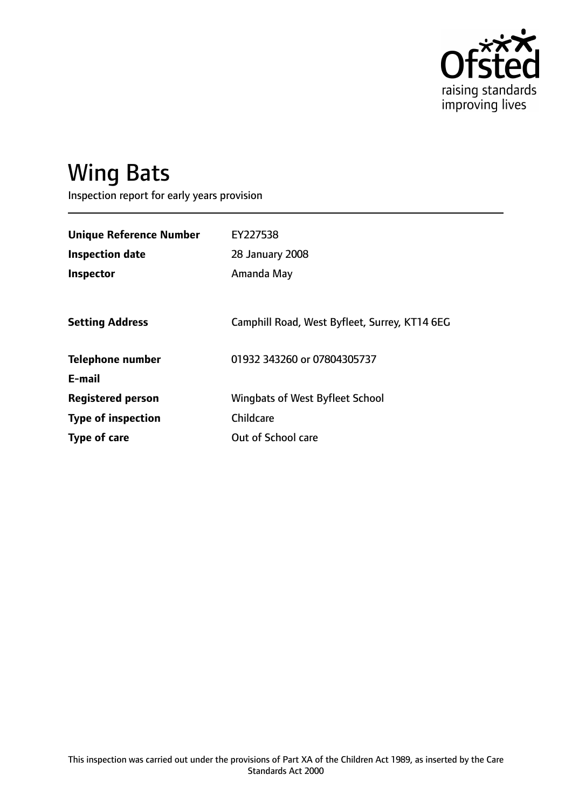

# Wing Bats

Inspection report for early years provision

| <b>Unique Reference Number</b> | EY227538                                      |
|--------------------------------|-----------------------------------------------|
| <b>Inspection date</b>         | 28 January 2008                               |
| Inspector                      | Amanda May                                    |
|                                |                                               |
| <b>Setting Address</b>         | Camphill Road, West Byfleet, Surrey, KT14 6EG |
| <b>Telephone number</b>        | 01932 343260 or 07804305737                   |
| E-mail                         |                                               |
| <b>Registered person</b>       | Wingbats of West Byfleet School               |
| <b>Type of inspection</b>      | <b>Childcare</b>                              |
| Type of care                   | Out of School care                            |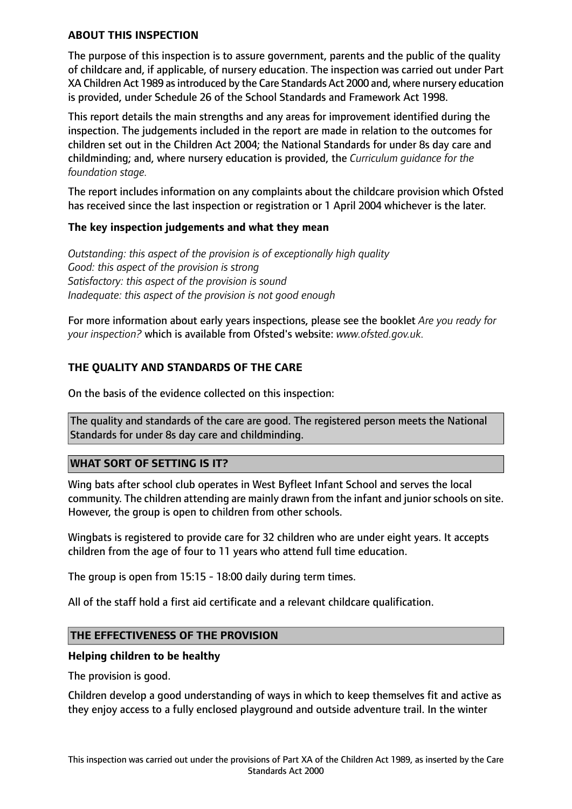## **ABOUT THIS INSPECTION**

The purpose of this inspection is to assure government, parents and the public of the quality of childcare and, if applicable, of nursery education. The inspection was carried out under Part XA Children Act 1989 as introduced by the Care Standards Act 2000 and, where nursery education is provided, under Schedule 26 of the School Standards and Framework Act 1998.

This report details the main strengths and any areas for improvement identified during the inspection. The judgements included in the report are made in relation to the outcomes for children set out in the Children Act 2004; the National Standards for under 8s day care and childminding; and, where nursery education is provided, the *Curriculum guidance for the foundation stage.*

The report includes information on any complaints about the childcare provision which Ofsted has received since the last inspection or registration or 1 April 2004 whichever is the later.

## **The key inspection judgements and what they mean**

*Outstanding: this aspect of the provision is of exceptionally high quality Good: this aspect of the provision is strong Satisfactory: this aspect of the provision is sound Inadequate: this aspect of the provision is not good enough*

For more information about early years inspections, please see the booklet *Are you ready for your inspection?* which is available from Ofsted's website: *www.ofsted.gov.uk.*

# **THE QUALITY AND STANDARDS OF THE CARE**

On the basis of the evidence collected on this inspection:

The quality and standards of the care are good. The registered person meets the National Standards for under 8s day care and childminding.

## **WHAT SORT OF SETTING IS IT?**

Wing bats after school club operates in West Byfleet Infant School and serves the local community. The children attending are mainly drawn from the infant and junior schools on site. However, the group is open to children from other schools.

Wingbats is registered to provide care for 32 children who are under eight years. It accepts children from the age of four to 11 years who attend full time education.

The group is open from 15:15 - 18:00 daily during term times.

All of the staff hold a first aid certificate and a relevant childcare qualification.

## **THE EFFECTIVENESS OF THE PROVISION**

#### **Helping children to be healthy**

The provision is good.

Children develop a good understanding of ways in which to keep themselves fit and active as they enjoy access to a fully enclosed playground and outside adventure trail. In the winter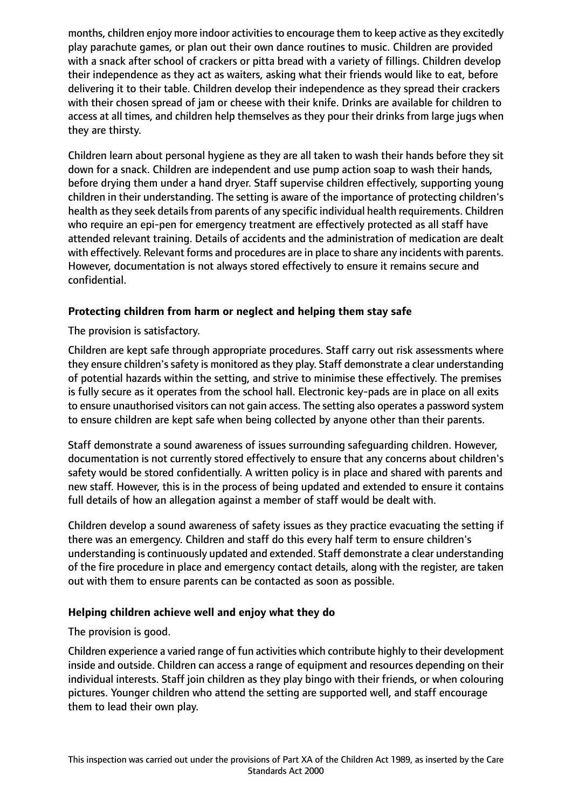months, children enjoy more indoor activities to encourage them to keep active as they excitedly play parachute games, or plan out their own dance routines to music. Children are provided with a snack after school of crackers or pitta bread with a variety of fillings. Children develop their independence as they act as waiters, asking what their friends would like to eat, before delivering it to their table. Children develop their independence as they spread their crackers with their chosen spread of jam or cheese with their knife. Drinks are available for children to access at all times, and children help themselves as they pour their drinks from large jugs when they are thirsty.

Children learn about personal hygiene as they are all taken to wash their hands before they sit down for a snack. Children are independent and use pump action soap to wash their hands, before drying them under a hand dryer. Staff supervise children effectively, supporting young children in their understanding. The setting is aware of the importance of protecting children's health as they seek details from parents of any specific individual health requirements. Children who require an epi-pen for emergency treatment are effectively protected as all staff have attended relevant training. Details of accidents and the administration of medication are dealt with effectively. Relevant forms and procedures are in place to share any incidents with parents. However, documentation is not always stored effectively to ensure it remains secure and confidential.

# **Protecting children from harm or neglect and helping them stay safe**

The provision is satisfactory.

Children are kept safe through appropriate procedures. Staff carry out risk assessments where they ensure children's safety is monitored as they play. Staff demonstrate a clear understanding of potential hazards within the setting, and strive to minimise these effectively. The premises is fully secure as it operates from the school hall. Electronic key-pads are in place on all exits to ensure unauthorised visitors can not gain access. The setting also operates a password system to ensure children are kept safe when being collected by anyone other than their parents.

Staff demonstrate a sound awareness of issues surrounding safeguarding children. However, documentation is not currently stored effectively to ensure that any concerns about children's safety would be stored confidentially. A written policy is in place and shared with parents and new staff. However, this is in the process of being updated and extended to ensure it contains full details of how an allegation against a member of staff would be dealt with.

Children develop a sound awareness of safety issues as they practice evacuating the setting if there was an emergency. Children and staff do this every half term to ensure children's understanding is continuously updated and extended. Staff demonstrate a clear understanding of the fire procedure in place and emergency contact details, along with the register, are taken out with them to ensure parents can be contacted as soon as possible.

## **Helping children achieve well and enjoy what they do**

The provision is good.

Children experience a varied range of fun activities which contribute highly to their development inside and outside. Children can access a range of equipment and resources depending on their individual interests. Staff join children as they play bingo with their friends, or when colouring pictures. Younger children who attend the setting are supported well, and staff encourage them to lead their own play.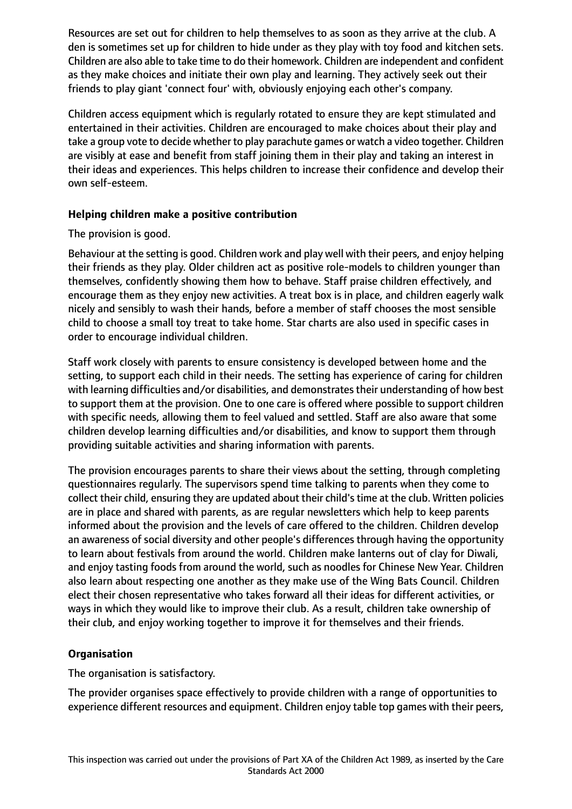Resources are set out for children to help themselves to as soon as they arrive at the club. A den is sometimes set up for children to hide under as they play with toy food and kitchen sets. Children are also able to take time to do their homework. Children are independent and confident as they make choices and initiate their own play and learning. They actively seek out their friends to play giant 'connect four' with, obviously enjoying each other's company.

Children access equipment which is regularly rotated to ensure they are kept stimulated and entertained in their activities. Children are encouraged to make choices about their play and take a group vote to decide whether to play parachute games or watch a video together. Children are visibly at ease and benefit from staff joining them in their play and taking an interest in their ideas and experiences. This helps children to increase their confidence and develop their own self-esteem.

# **Helping children make a positive contribution**

# The provision is good.

Behaviour at the setting is good. Children work and play well with their peers, and enjoy helping their friends as they play. Older children act as positive role-models to children younger than themselves, confidently showing them how to behave. Staff praise children effectively, and encourage them as they enjoy new activities. A treat box is in place, and children eagerly walk nicely and sensibly to wash their hands, before a member of staff chooses the most sensible child to choose a small toy treat to take home. Star charts are also used in specific cases in order to encourage individual children.

Staff work closely with parents to ensure consistency is developed between home and the setting, to support each child in their needs. The setting has experience of caring for children with learning difficulties and/or disabilities, and demonstrates their understanding of how best to support them at the provision. One to one care is offered where possible to support children with specific needs, allowing them to feel valued and settled. Staff are also aware that some children develop learning difficulties and/or disabilities, and know to support them through providing suitable activities and sharing information with parents.

The provision encourages parents to share their views about the setting, through completing questionnaires regularly. The supervisors spend time talking to parents when they come to collect their child, ensuring they are updated about their child'stime at the club. Written policies are in place and shared with parents, as are regular newsletters which help to keep parents informed about the provision and the levels of care offered to the children. Children develop an awareness of social diversity and other people's differences through having the opportunity to learn about festivals from around the world. Children make lanterns out of clay for Diwali, and enjoy tasting foods from around the world, such as noodles for Chinese New Year. Children also learn about respecting one another as they make use of the Wing Bats Council. Children elect their chosen representative who takes forward all their ideas for different activities, or ways in which they would like to improve their club. As a result, children take ownership of their club, and enjoy working together to improve it for themselves and their friends.

# **Organisation**

The organisation is satisfactory.

The provider organises space effectively to provide children with a range of opportunities to experience different resources and equipment. Children enjoy table top games with their peers,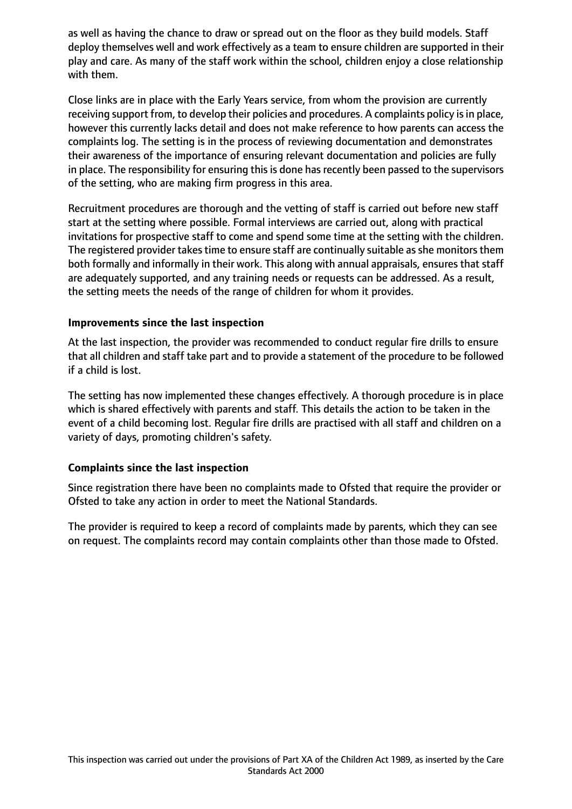as well as having the chance to draw or spread out on the floor as they build models. Staff deploy themselves well and work effectively as a team to ensure children are supported in their play and care. As many of the staff work within the school, children enjoy a close relationship with them.

Close links are in place with the Early Years service, from whom the provision are currently receiving support from, to develop their policies and procedures. A complaints policy is in place, however this currently lacks detail and does not make reference to how parents can access the complaints log. The setting is in the process of reviewing documentation and demonstrates their awareness of the importance of ensuring relevant documentation and policies are fully in place. The responsibility for ensuring this is done has recently been passed to the supervisors of the setting, who are making firm progress in this area.

Recruitment procedures are thorough and the vetting of staff is carried out before new staff start at the setting where possible. Formal interviews are carried out, along with practical invitations for prospective staff to come and spend some time at the setting with the children. The registered provider takes time to ensure staff are continually suitable as she monitors them both formally and informally in their work. This along with annual appraisals, ensures that staff are adequately supported, and any training needs or requests can be addressed. As a result, the setting meets the needs of the range of children for whom it provides.

## **Improvements since the last inspection**

At the last inspection, the provider was recommended to conduct regular fire drills to ensure that all children and staff take part and to provide a statement of the procedure to be followed if a child is lost.

The setting has now implemented these changes effectively. A thorough procedure is in place which is shared effectively with parents and staff. This details the action to be taken in the event of a child becoming lost. Regular fire drills are practised with all staff and children on a variety of days, promoting children's safety.

## **Complaints since the last inspection**

Since registration there have been no complaints made to Ofsted that require the provider or Ofsted to take any action in order to meet the National Standards.

The provider is required to keep a record of complaints made by parents, which they can see on request. The complaints record may contain complaints other than those made to Ofsted.